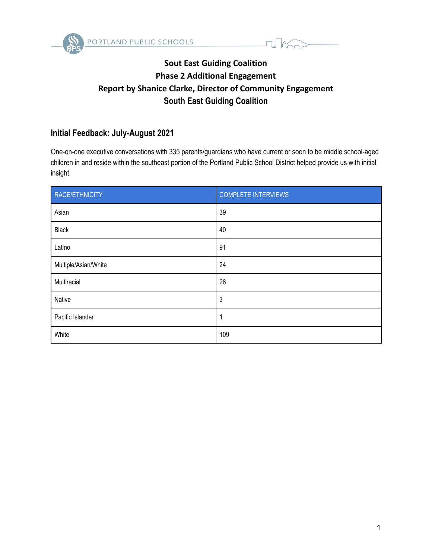



# **Sout East Guiding Coalition Phase 2 Additional Engagement Report by Shanice Clarke, Director of Community Engagement South East Guiding Coalition**

## **Initial Feedback: July-August 2021**

One-on-one executive conversations with 335 parents/guardians who have current or soon to be middle school-aged children in and reside within the southeast portion of the Portland Public School District helped provide us with initial insight.

| RACE/ETHNICITY       | <b>COMPLETE INTERVIEWS</b> |
|----------------------|----------------------------|
| Asian                | 39                         |
| <b>Black</b>         | 40                         |
| Latino               | 91                         |
| Multiple/Asian/White | 24                         |
| Multiracial          | 28                         |
| Native               | 3                          |
| Pacific Islander     | 1                          |
| White                | 109                        |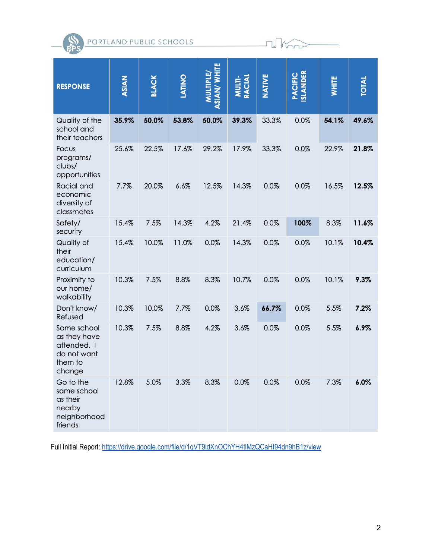PORTLAND PUBLIC SCHOOLS



**II** Mort

Full Initial Report: <https://drive.google.com/file/d/1qVT9idXnOChYH4tlMzQCaHI94dn9hB1z/view>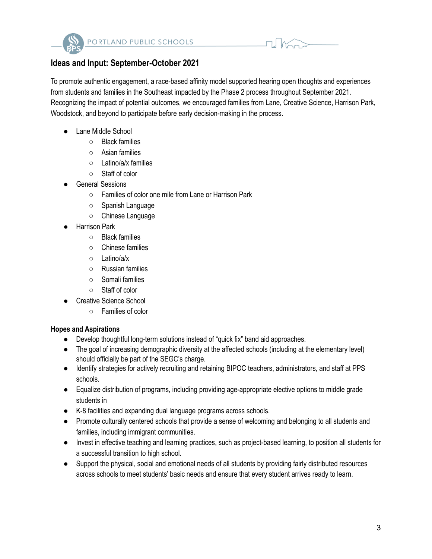

## **Ideas and Input: September-October 2021**

To promote authentic engagement, a race-based affinity model supported hearing open thoughts and experiences from students and families in the Southeast impacted by the Phase 2 process throughout September 2021. Recognizing the impact of potential outcomes, we encouraged families from Lane, Creative Science, Harrison Park, Woodstock, and beyond to participate before early decision-making in the process.

- Lane Middle School
	- Black families
	- Asian families
	- Latino/a/x families
	- Staff of color
- General Sessions
	- Families of color one mile from Lane or Harrison Park
	- Spanish Language
	- Chinese Language
- **Harrison Park** 
	- Black families
	- Chinese families
	- Latino/a/x
	- Russian families
	- Somali families
	- Staff of color
	- Creative Science School
		- Families of color

### **Hopes and Aspirations**

- Develop thoughtful long-term solutions instead of "quick fix" band aid approaches.
- The goal of increasing demographic diversity at the affected schools (including at the elementary level) should officially be part of the SEGC's charge.
- Identify strategies for actively recruiting and retaining BIPOC teachers, administrators, and staff at PPS schools.
- Equalize distribution of programs, including providing age-appropriate elective options to middle grade students in
- K-8 facilities and expanding dual language programs across schools.
- Promote culturally centered schools that provide a sense of welcoming and belonging to all students and families, including immigrant communities.
- Invest in effective teaching and learning practices, such as project-based learning, to position all students for a successful transition to high school.
- Support the physical, social and emotional needs of all students by providing fairly distributed resources across schools to meet students' basic needs and ensure that every student arrives ready to learn.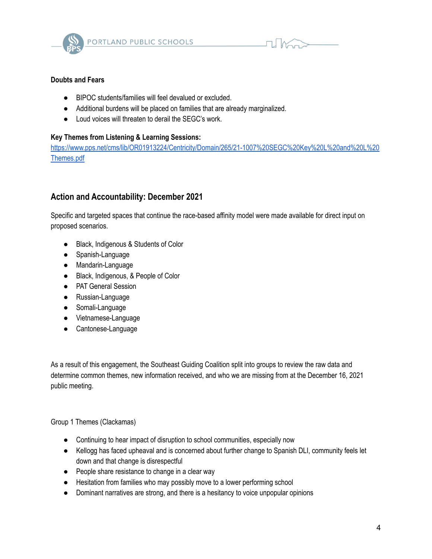

$$
\blacksquare
$$

## **Doubts and Fears**

- BIPOC students/families will feel devalued or excluded.
- Additional burdens will be placed on families that are already marginalized.
- Loud voices will threaten to derail the SEGC's work.

## **Key Themes from Listening & Learning Sessions:**

[https://www.pps.net/cms/lib/OR01913224/Centricity/Domain/265/21-1007%20SEGC%20Key%20L%20and%20L%20](https://www.pps.net/cms/lib/OR01913224/Centricity/Domain/265/21-1007%20SEGC%20Key%20L%20and%20L%20Themes.pdf) [Themes.pdf](https://www.pps.net/cms/lib/OR01913224/Centricity/Domain/265/21-1007%20SEGC%20Key%20L%20and%20L%20Themes.pdf)

## **Action and Accountability: December 2021**

Specific and targeted spaces that continue the race-based affinity model were made available for direct input on proposed scenarios.

- Black, Indigenous & Students of Color
- Spanish-Language
- Mandarin-Language
- Black, Indigenous, & People of Color
- PAT General Session
- Russian-Language
- Somali-Language
- Vietnamese-Language
- Cantonese-Language

As a result of this engagement, the Southeast Guiding Coalition split into groups to review the raw data and determine common themes, new information received, and who we are missing from at the December 16, 2021 public meeting.

Group 1 Themes (Clackamas)

- Continuing to hear impact of disruption to school communities, especially now
- Kellogg has faced upheaval and is concerned about further change to Spanish DLI, community feels let down and that change is disrespectful
- People share resistance to change in a clear way
- Hesitation from families who may possibly move to a lower performing school
- Dominant narratives are strong, and there is a hesitancy to voice unpopular opinions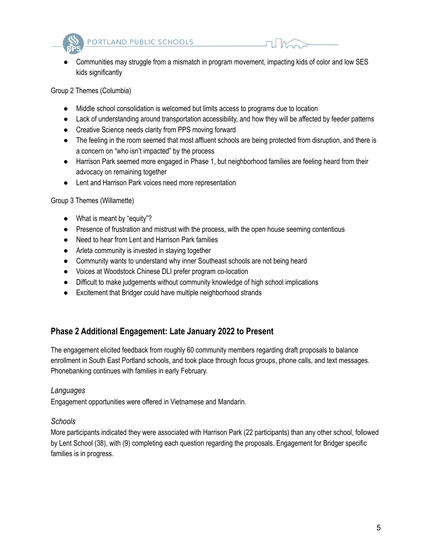



Communities may struggle from a mismatch in program movement, impacting kids of color and low SES kids significantly

Group 2 Themes (Columbia)

- Middle school consolidation is welcomed but limits access to programs due to location
- Lack of understanding around transportation accessibility, and how they will be affected by feeder patterns
- Creative Science needs clarity from PPS moving forward
- The feeling in the room seemed that most affluent schools are being protected from disruption, and there is a concern on "who isn't impacted" by the process
- Harrison Park seemed more engaged in Phase 1, but neighborhood families are feeling heard from their advocacy on remaining together
- Lent and Harrison Park voices need more representation

### Group 3 Themes (Willamette)

- What is meant by "equity"?
- Presence of frustration and mistrust with the process, with the open house seeming contentious
- Need to hear from Lent and Harrison Park families
- Arleta community is invested in staying together
- Community wants to understand why inner Southeast schools are not being heard
- Voices at Woodstock Chinese DLI prefer program co-location
- Difficult to make judgements without community knowledge of high school implications
- Excitement that Bridger could have multiple neighborhood strands

## **Phase 2 Additional Engagement: Late January 2022 to Present**

The engagement elicited feedback from roughly 60 community members regarding draft proposals to balance enrollment in South East Portland schools, and took place through focus groups, phone calls, and text messages. Phonebanking continues with families in early February.

### *Languages*

Engagement opportunities were offered in Vietnamese and Mandarin.

## *Schools*

More participants indicated they were associated with Harrison Park (22 participants) than any other school, followed by Lent School (38), with (9) completing each question regarding the proposals. Engagement for Bridger specific families is in progress.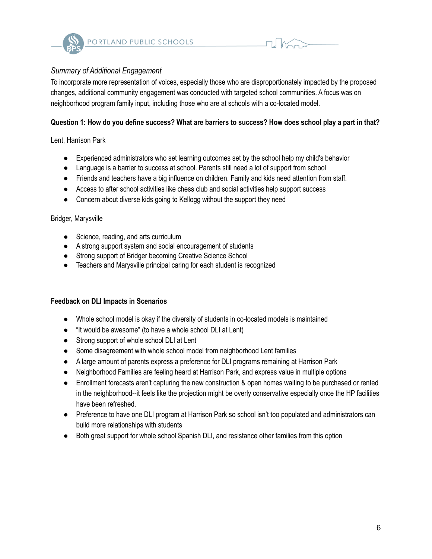

## *Summary of Additional Engagement*

To incorporate more representation of voices, especially those who are disproportionately impacted by the proposed changes, additional community engagement was conducted with targeted school communities. A focus was on neighborhood program family input, including those who are at schools with a co-located model.

## Question 1: How do you define success? What are barriers to success? How does school play a part in that?

### Lent, Harrison Park

- Experienced administrators who set learning outcomes set by the school help my child's behavior
- Language is a barrier to success at school. Parents still need a lot of support from school
- Friends and teachers have a big influence on children. Family and kids need attention from staff.
- Access to after school activities like chess club and social activities help support success
- Concern about diverse kids going to Kellogg without the support they need

#### Bridger, Marysville

- Science, reading, and arts curriculum
- A strong support system and social encouragement of students
- Strong support of Bridger becoming Creative Science School
- Teachers and Marysville principal caring for each student is recognized

#### **Feedback on DLI Impacts in Scenarios**

- Whole school model is okay if the diversity of students in co-located models is maintained
- "It would be awesome" (to have a whole school DLI at Lent)
- Strong support of whole school DLI at Lent
- Some disagreement with whole school model from neighborhood Lent families
- A large amount of parents express a preference for DLI programs remaining at Harrison Park
- Neighborhood Families are feeling heard at Harrison Park, and express value in multiple options
- Enrollment forecasts aren't capturing the new construction & open homes waiting to be purchased or rented in the neighborhood--it feels like the projection might be overly conservative especially once the HP facilities have been refreshed.
- Preference to have one DLI program at Harrison Park so school isn't too populated and administrators can build more relationships with students
- Both great support for whole school Spanish DLI, and resistance other families from this option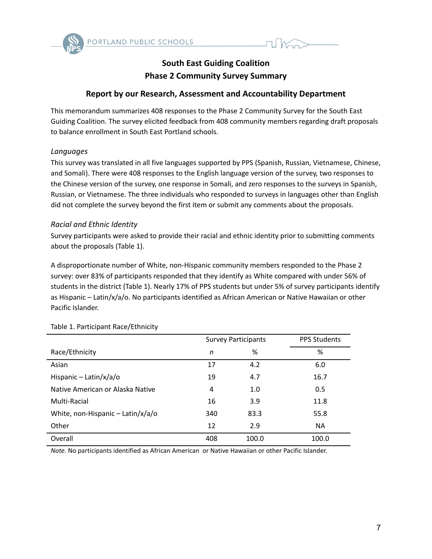

## **South East Guiding Coalition Phase 2 Community Survey Summary**

## **Report by our Research, Assessment and Accountability Department**

This memorandum summarizes 408 responses to the Phase 2 Community Survey for the South East Guiding Coalition. The survey elicited feedback from 408 community members regarding draft proposals to balance enrollment in South East Portland schools.

#### *Languages*

This survey was translated in all five languages supported by PPS (Spanish, Russian, Vietnamese, Chinese, and Somali). There were 408 responses to the English language version of the survey, two responses to the Chinese version of the survey, one response in Somali, and zero responses to the surveys in Spanish, Russian, or Vietnamese. The three individuals who responded to surveys in languages other than English did not complete the survey beyond the first item or submit any comments about the proposals.

#### *Racial and Ethnic Identity*

Survey participants were asked to provide their racial and ethnic identity prior to submitting comments about the proposals (Table 1).

A disproportionate number of White, non-Hispanic community members responded to the Phase 2 survey: over 83% of participants responded that they identify as White compared with under 56% of students in the district (Table 1). Nearly 17% of PPS students but under 5% of survey participants identify as Hispanic – Latin/x/a/o. No participants identified as African American or Native Hawaiian or other Pacific Islander.

|                                     | <b>Survey Participants</b> |       | <b>PPS Students</b> |
|-------------------------------------|----------------------------|-------|---------------------|
| Race/Ethnicity                      | n                          | %     | %                   |
| Asian                               | 17                         | 4.2   | 6.0                 |
| Hispanic - Latin/x/a/o              | 19                         | 4.7   | 16.7                |
| Native American or Alaska Native    | 4                          | 1.0   | 0.5                 |
| Multi-Racial                        | 16                         | 3.9   | 11.8                |
| White, non-Hispanic $-$ Latin/x/a/o | 340                        | 83.3  | 55.8                |
| Other                               | 12                         | 2.9   | <b>NA</b>           |
| Overall                             | 408                        | 100.0 | 100.0               |

Table 1. Participant Race/Ethnicity

*Note.* No participants identified as African American or Native Hawaiian or other Pacific Islander.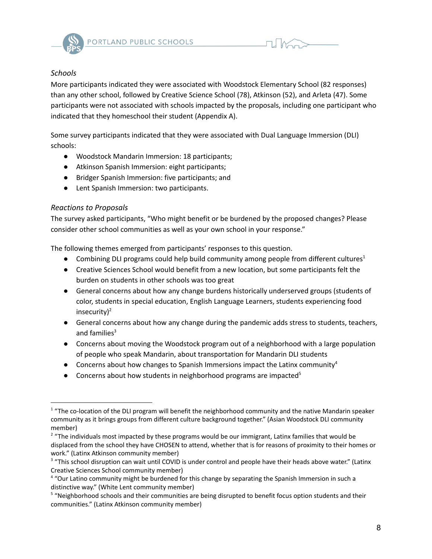

## *Schools*

More participants indicated they were associated with Woodstock Elementary School (82 responses) than any other school, followed by Creative Science School (78), Atkinson (52), and Arleta (47). Some participants were not associated with schools impacted by the proposals, including one participant who indicated that they homeschool their student (Appendix A).

Some survey participants indicated that they were associated with Dual Language Immersion (DLI) schools:

- Woodstock Mandarin Immersion: 18 participants;
- Atkinson Spanish Immersion: eight participants;
- Bridger Spanish Immersion: five participants; and
- Lent Spanish Immersion: two participants.

## *Reactions to Proposals*

The survey asked participants, "Who might benefit or be burdened by the proposed changes? Please consider other school communities as well as your own school in your response."

The following themes emerged from participants' responses to this question.

- Combining DLI programs could help build community among people from different cultures<sup>1</sup>
- Creative Sciences School would benefit from a new location, but some participants felt the burden on students in other schools was too great
- General concerns about how any change burdens historically underserved groups (students of color, students in special education, English Language Learners, students experiencing food insecurity)<sup>2</sup>
- General concerns about how any change during the pandemic adds stress to students, teachers, and families 3
- Concerns about moving the Woodstock program out of a neighborhood with a large population of people who speak Mandarin, about transportation for Mandarin DLI students
- Concerns about how changes to Spanish Immersions impact the Latinx community<sup>4</sup>
- Concerns about how students in neighborhood programs are impacted<sup>5</sup>

<sup>&</sup>lt;sup>1</sup> "The co-location of the DLI program will benefit the neighborhood community and the native Mandarin speaker community as it brings groups from different culture background together." (Asian Woodstock DLI community member)

 $2$  "The individuals most impacted by these programs would be our immigrant, Latinx families that would be displaced from the school they have CHOSEN to attend, whether that is for reasons of proximity to their homes or work." (Latinx Atkinson community member)

<sup>&</sup>lt;sup>3</sup> "This school disruption can wait until COVID is under control and people have their heads above water." (Latinx Creative Sciences School community member)

<sup>&</sup>lt;sup>4</sup> "Our Latino community might be burdened for this change by separating the Spanish Immersion in such a distinctive way." (White Lent community member)

<sup>&</sup>lt;sup>5</sup> "Neighborhood schools and their communities are being disrupted to benefit focus option students and their communities." (Latinx Atkinson community member)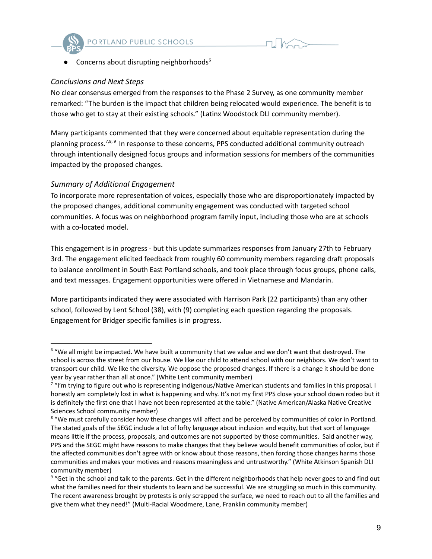



● Concerns about disrupting neighborhoods 6

#### *Conclusions and Next Steps*

No clear consensus emerged from the responses to the Phase 2 Survey, as one community member remarked: "The burden is the impact that children being relocated would experience. The benefit is to those who get to stay at their existing schools." (Latinx Woodstock DLI community member).

Many participants commented that they were concerned about equitable representation during the planning process.<sup>7,8,9</sup> In response to these concerns, PPS conducted additional community outreach through intentionally designed focus groups and information sessions for members of the communities impacted by the proposed changes.

### *Summary of Additional Engagement*

To incorporate more representation of voices, especially those who are disproportionately impacted by the proposed changes, additional community engagement was conducted with targeted school communities. A focus was on neighborhood program family input, including those who are at schools with a co-located model.

This engagement is in progress - but this update summarizes responses from January 27th to February 3rd. The engagement elicited feedback from roughly 60 community members regarding draft proposals to balance enrollment in South East Portland schools, and took place through focus groups, phone calls, and text messages. Engagement opportunities were offered in Vietnamese and Mandarin.

More participants indicated they were associated with Harrison Park (22 participants) than any other school, followed by Lent School (38), with (9) completing each question regarding the proposals. Engagement for Bridger specific families is in progress.

<sup>&</sup>lt;sup>6</sup> "We all might be impacted. We have built a community that we value and we don't want that destroyed. The school is across the street from our house. We like our child to attend school with our neighbors. We don't want to transport our child. We like the diversity. We oppose the proposed changes. If there is a change it should be done year by year rather than all at once." (White Lent community member)

<sup>&</sup>lt;sup>7</sup> "I'm trying to figure out who is representing indigenous/Native American students and families in this proposal. I honestly am completely lost in what is happening and why. It's not my first PPS close your school down rodeo but it is definitely the first one that I have not been represented at the table." (Native American/Alaska Native Creative Sciences School community member)

<sup>&</sup>lt;sup>8</sup> "We must carefully consider how these changes will affect and be perceived by communities of color in Portland. The stated goals of the SEGC include a lot of lofty language about inclusion and equity, but that sort of language means little if the process, proposals, and outcomes are not supported by those communities. Said another way, PPS and the SEGC might have reasons to make changes that they believe would benefit communities of color, but if the affected communities don't agree with or know about those reasons, then forcing those changes harms those communities and makes your motives and reasons meaningless and untrustworthy." (White Atkinson Spanish DLI community member)

<sup>&</sup>lt;sup>9</sup> "Get in the school and talk to the parents. Get in the different neighborhoods that help never goes to and find out what the families need for their students to learn and be successful. We are struggling so much in this community. The recent awareness brought by protests is only scrapped the surface, we need to reach out to all the families and give them what they need!" (Multi-Racial Woodmere, Lane, Franklin community member)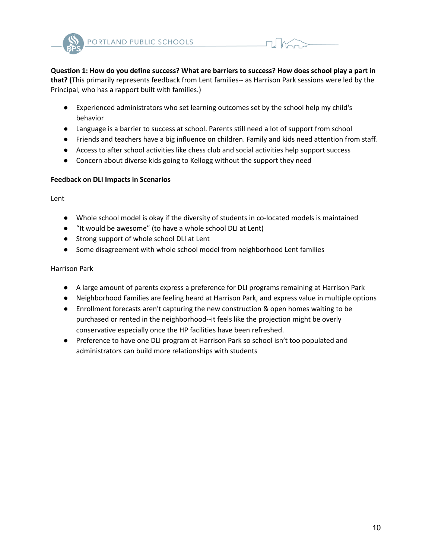



Question 1: How do you define success? What are barriers to success? How does school play a part in **that? (**This primarily represents feedback from Lent families-- as Harrison Park sessions were led by the Principal, who has a rapport built with families.)

- Experienced administrators who set learning outcomes set by the school help my child's behavior
- Language is a barrier to success at school. Parents still need a lot of support from school
- Friends and teachers have a big influence on children. Family and kids need attention from staff.
- Access to after school activities like chess club and social activities help support success
- Concern about diverse kids going to Kellogg without the support they need

#### **Feedback on DLI Impacts in Scenarios**

Lent

- Whole school model is okay if the diversity of students in co-located models is maintained
- "It would be awesome" (to have a whole school DLI at Lent)
- Strong support of whole school DLI at Lent
- Some disagreement with whole school model from neighborhood Lent families

#### Harrison Park

- A large amount of parents express a preference for DLI programs remaining at Harrison Park
- Neighborhood Families are feeling heard at Harrison Park, and express value in multiple options
- Enrollment forecasts aren't capturing the new construction & open homes waiting to be purchased or rented in the neighborhood--it feels like the projection might be overly conservative especially once the HP facilities have been refreshed.
- Preference to have one DLI program at Harrison Park so school isn't too populated and administrators can build more relationships with students